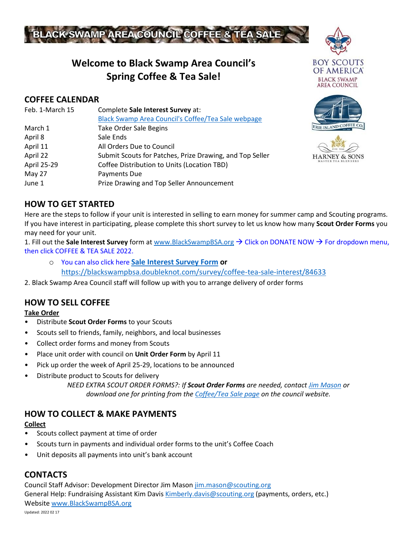

# **Welcome to Black Swamp Area Council's Spring Coffee & Tea Sale!**

## **COFFEE CALENDAR**

| Feb. 1-March 15 | Complete Sale Interest Survey at:                        |
|-----------------|----------------------------------------------------------|
|                 | Black Swamp Area Council's Coffee/Tea Sale webpage       |
| March 1         | <b>Take Order Sale Begins</b>                            |
| April 8         | Sale Ends                                                |
| April 11        | All Orders Due to Council                                |
| April 22        | Submit Scouts for Patches, Prize Drawing, and Top Seller |
| April 25-29     | Coffee Distribution to Units (Location TBD)              |
| May 27          | Payments Due                                             |
| June 1          | Prize Drawing and Top Seller Announcement                |







## **HOW TO GET STARTED**

Here are the steps to follow if your unit is interested in selling to earn money for summer camp and Scouting programs. If you have interest in participating, please complete this short survey to let us know how many **Scout Order Forms** you may need for your unit.

1. Fill out the **Sale Interest Survey** form at [www.BlackSwampBSA.org](http://www.blackswampbsa.org/) → Click on DONATE NOW → For dropdown menu, then click COFFEE & TEA SALE 2022.

o You can also click here **[Sale Interest Survey](https://blackswampbsa.doubleknot.com/survey/coffee-tea-sale-interest/84633) Form or**  <https://blackswampbsa.doubleknot.com/survey/coffee-tea-sale-interest/84633>

2. Black Swamp Area Council staff will follow up with you to arrange delivery of order forms

## **HOW TO SELL COFFEE**

**Take Order** 

- Distribute **Scout Order Forms** to your Scouts
- Scouts sell to friends, family, neighbors, and local businesses
- Collect order forms and money from Scouts
- Place unit order with council on **Unit Order Form** by April 11
- Pick up order the week of April 25-29, locations to be announced
- Distribute product to Scouts for delivery

*NEED EXTRA SCOUT ORDER FORMS?: If Scout Order Forms are needed, contac[t Jim Mason](mailto:jim.mason@scouting.org?subject=COFFEE%20TEA%20Sale%20order%20forms) or download one for printing from the [Coffee/Tea Sale page](http://www.blackswampbsa.org/donate-now/coffee-tea-sale-2022/75014) on the council website.*

## **HOW TO COLLECT & MAKE PAYMENTS**

#### **Collect**

- Scouts collect payment at time of order
- Scouts turn in payments and individual order forms to the unit's Coffee Coach
- Unit deposits all payments into unit's bank account

### **CONTACTS**

Council Staff Advisor: Development Director Jim Mason [jim.mason@scouting.org](mailto:jim.mason@scouting.org) General Help: Fundraising Assistant Kim Davi[s Kimberly.davis@scouting.org](mailto:Kimberly.davis@scouting.org) (payments, orders, etc.) Websit[e www.BlackSwampBSA.org](http://www.blackswampbsa.org/)